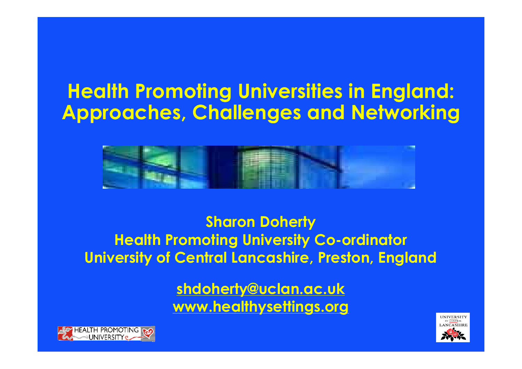### **Health Promoting Universities in England: Approaches, Challenges and Networking**



**Sharon Doherty Health Promoting University Co-ordinator University of Central Lancashire, Preston, England**

> **[shdoherty@uclan.ac.uk](mailto:shdoherty@uclan.ac.uk) [www.healthysettings.org](http://www.healthysettings.org)**



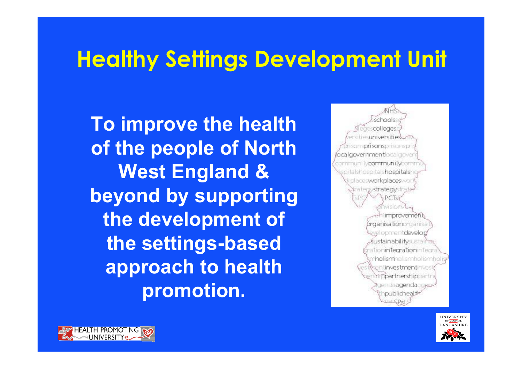### **Healthy Settings Development Unit**

**To improve the health of the people of North West England & beyond by supporting the development of the settings-based approach to health promotion.**

colleges universities **prisans**prisanspr icalgovernment bral pove i turammunituran pitalshospitalshospitals placesworkplaces » rategy**strategy**str improvement braanisationorganisa velopment**develap** ustainabilitysusta ationintecrationinte n**halism**hallsmhelismheli enti**rvestment**ime mo**partnership**part aendaagenda publicheal:



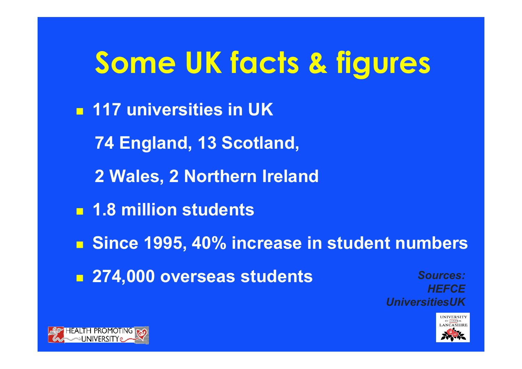# **Some UK facts & figures**

<sup>n</sup> **117 universities in UK 74 England, 13 Scotland, 2 Wales, 2 Northern Ireland** <sup>n</sup> **1.8 million students** <sup>n</sup> **Since 1995, 40% increase in student numbers** <sup>n</sup> **274,000 overseas students** *Sources: HEFCE*



*UniversitiesUK*

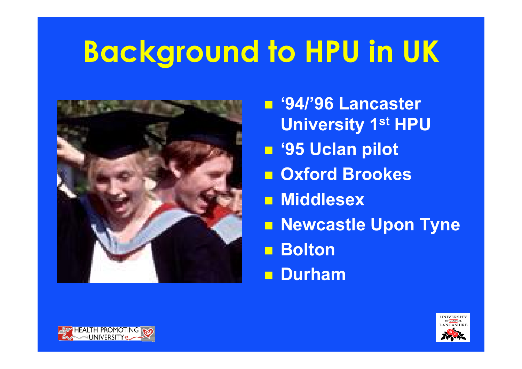# **Background to HPU in UK**



n **'94/'96 Lancaster University 1st HPU** n **'95 Uclan pilot** n **Oxford Brookes n** Middlesex **n Newcastle Upon Tyne** n **Bolton** n **Durham**



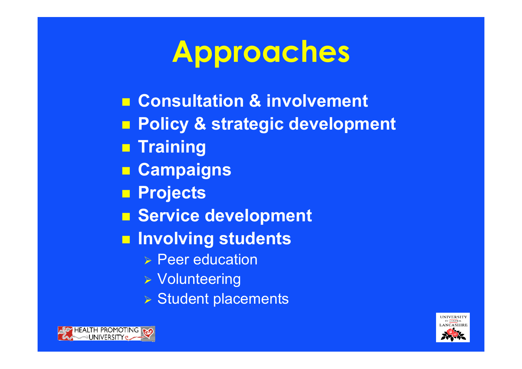# **Approaches**

- n **Consultation & involvement**
- n **Policy & strategic development**
- **n** Training
- **n Campaigns**
- **n Projects**
- **n** Service development
- $\blacksquare$  **Involving students** 
	- $\triangleright$  Peer education
	- **> Volunteering**
	- $\triangleright$  Student placements



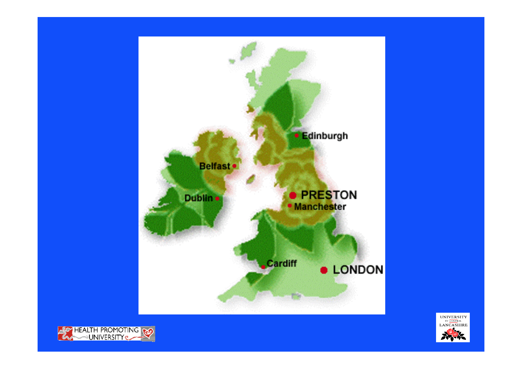



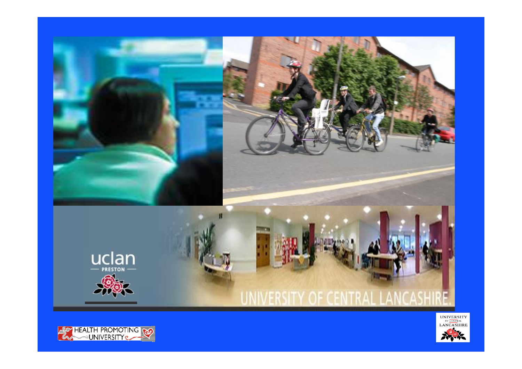



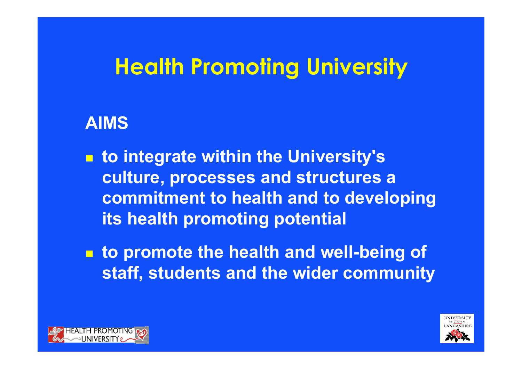### **Health Promoting University**

#### **AIMS**

- **to** integrate within the University's **culture, processes and structures a commitment to health and to developing its health promoting potential**
- $\blacksquare$  **to promote the health and well-being of staff, students and the wider community**



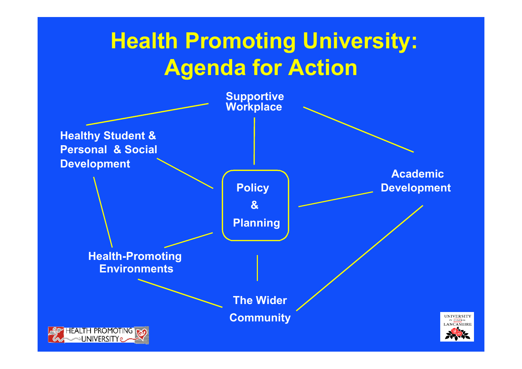### **Health Promoting University: Agenda for Action**

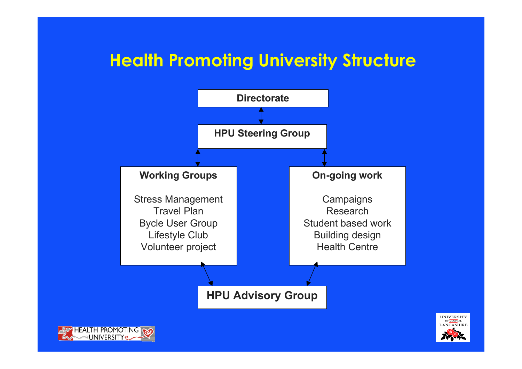#### **Health Promoting University Structure**

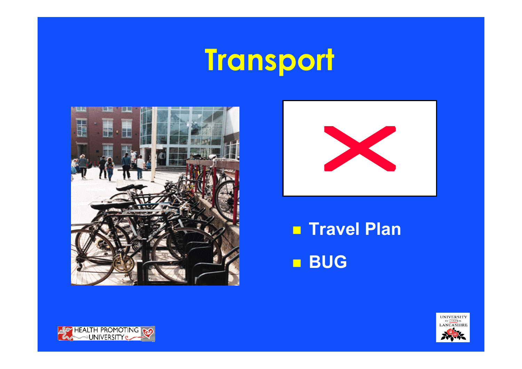# **Transport**





**Travel Plan BUG** 



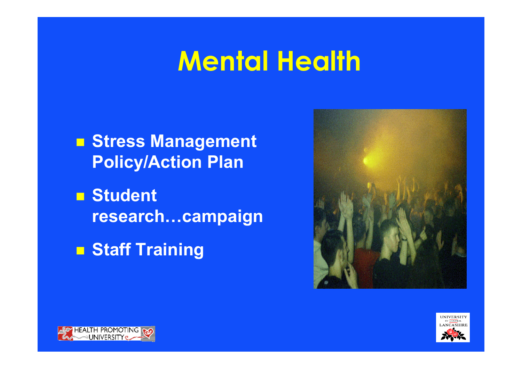## **Mental Health**

n **Stress Management Policy/Action Plan**

**n** Student **research…campaign**

n **Staff Training**





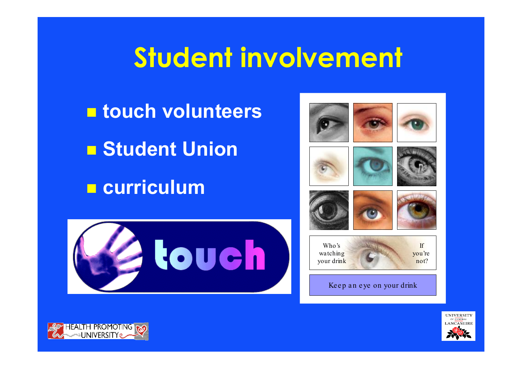## **Student involvement**

n **touch volunteers** n **Student Union** n **curriculum**







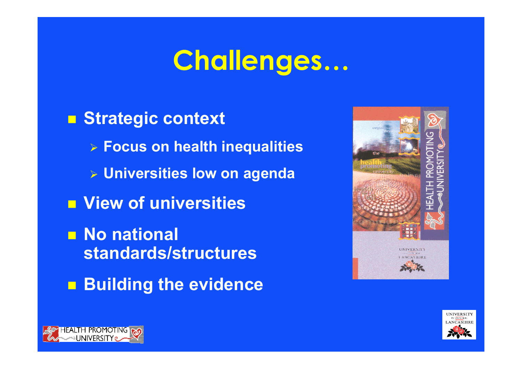## **Challenges…**

■ **Strategic context** ÿ **Focus on health inequalities** ÿ **Universities low on agenda**  $\blacksquare$  **View of universities n** No national **standards/structures**  $\blacksquare$  **Building the evidence** 





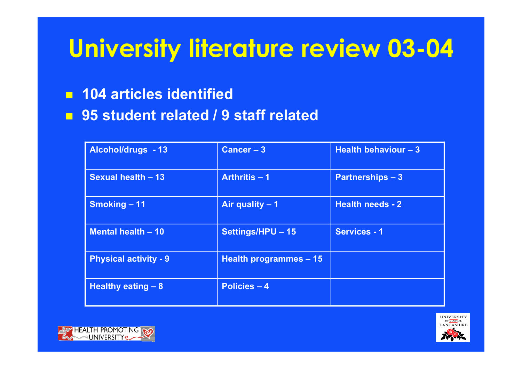### **University literature review 03-04**

#### $104$  **articles identified**

n **95 student related / 9 staff related**

| <b>Alcohol/drugs - 13</b>    | Cancer $-3$            | Health behaviour $-3$   |
|------------------------------|------------------------|-------------------------|
| <b>Sexual health - 13</b>    | Arthritis $-1$         | <b>Partnerships - 3</b> |
| <b>Smoking - 11</b>          | Air quality $-1$       | <b>Health needs - 2</b> |
| Mental health - 10           | Settings/HPU - 15      | <b>Services - 1</b>     |
| <b>Physical activity - 9</b> | Health programmes - 15 |                         |
| <b>Healthy eating - 8</b>    | <b>Policies - 4</b>    |                         |



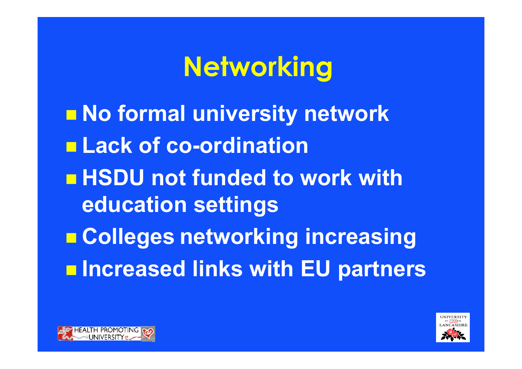## **Networking**

 $\blacksquare$  **No formal university network** n **Lack of co-ordination** n **HSDU not funded to work with education settings** n **Colleges networking increasing**  $\blacksquare$  **Increased links with EU partners**